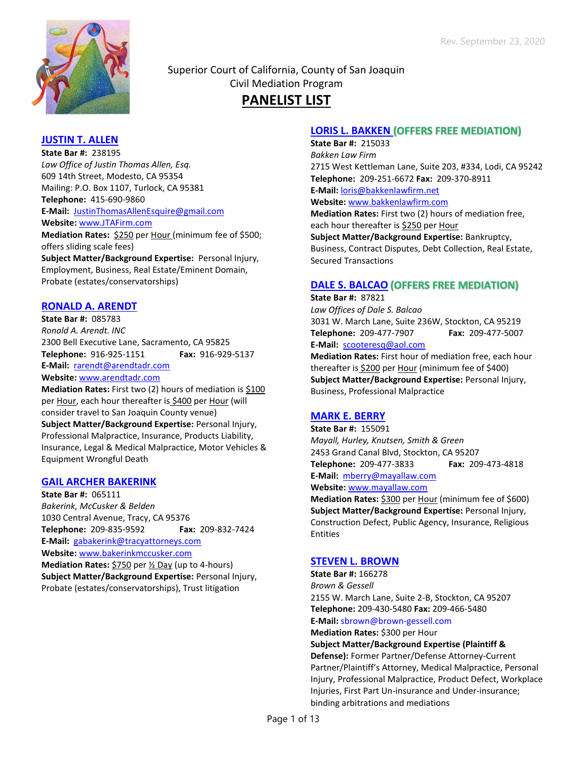

Superior Court of California, County of San Joaquin Civil Mediation Program **PANELIST LIST**

## **JUSTIN T. ALLEN**

**State Bar #:** 238195 *Law Office of Justin Thomas Allen, Esq.* 609 14th Street, Modesto, CA 95354 Mailing: P.O. Box 1107, Turlock, CA 95381 **Telephone:** 415-690-9860 **E-Mail:** [JustinThomasAllenEsquire@gmail.com](mailto:JustinThomasAllenEsquire@gmail.com) **Website:** [www.JTAFirm.com](http://www.jtafirm.com/) **Mediation Rates:** \$250 per Hour (minimum fee of \$500;

offers sliding scale fees) **Subject Matter/Background Expertise:** Personal Injury, Employment, Business, Real Estate/Eminent Domain, Probate (estates/conservatorships)

### **RONALD A. ARENDT**

**State Bar #:** 085783 *Ronald A. Arendt. INC* 2300 Bell Executive Lane, Sacramento, CA 95825 **Telephone:** 916-925-1151 **Fax:** 916-929-5137 **E-Mail:** [rarendt@arendtadr.com](mailto:rarendt@arendtadr.com) **Website:** [www.arendtadr.com](http://www.arendtadr.com/)

**Mediation Rates:** First two (2) hours of mediation is \$100 per Hour, each hour thereafter is \$400 per Hour (will consider travel to San Joaquin County venue)

**Subject Matter/Background Expertise:** Personal Injury, Professional Malpractice, Insurance, Products Liability, Insurance, Legal & Medical Malpractice, Motor Vehicles & Equipment Wrongful Death

## **GAIL ARCHER BAKERINK**

**State Bar #:** 065111 *Bakerink, McCusker & Belden* 1030 Central Avenue, Tracy, CA 95376 **Telephone:** 209-835-9592 **Fax:** 209-832-7424 **E-Mail:** [gabakerink@tracyattorneys.com](mailto:gabakerink@arrival.net) **Website:** [www.bakerinkmccusker.com](http://www.bakerinkmccusker.com/) **Mediation Rates:** \$750 per  $\frac{1}{2}$  Day (up to 4-hours) **Subject Matter/Background Expertise:** Personal Injury, Probate (estates/conservatorships), Trust litigation

## **LORIS L. BAKKEN (OFFERS FREE MEDIATION)**

**State Bar #:** 215033 *Bakken Law Firm* 2715 West Kettleman Lane, Suite 203, #334, Lodi, CA 95242 **Telephone:** 209-251-6672 **Fax:** 209-370-8911 **E-Mail:** loris@bakkenlawfirm.net **Website:** [www.b](http://www./)akkenlawfirm.com **Mediation Rates:** First two (2) hours of mediation free, each hour thereafter is \$250 per Hour

**Subject Matter/Background Expertise:** Bankruptcy, Business, Contract Disputes, Debt Collection, Real Estate, Secured Transactions

## **DALE S. BALCAO (OFFERS FREE MEDIATION)**

**State Bar #:** 87821 *Law Offices of Dale S. Balcao* 3031 W. March Lane, Suite 236W, Stockton, CA 95219 **Telephone:** 209-477-7907 **Fax:** 209-477-5007 **E-Mail:** [scooteresq@aol.com](mailto:scooteresq@aol.com)

**Mediation Rates:** First hour of mediation free, each hour thereafter is \$200 per Hour (minimum fee of \$400) **Subject Matter/Background Expertise:** Personal Injury, Business, Professional Malpractice

## **MARK E. BERRY**

**State Bar #:** 155091 *Mayall, Hurley, Knutsen, Smith & Green* 2453 Grand Canal Blvd, Stockton, CA 95207 **Telephone:** 209-477-3833 **Fax:** 209-473-4818 **E-Mail:** [mberry@mayallaw.com](mailto:mberry@mayallaw.com) **Website:** [www.mayallaw.com](http://www.mayallaw.com/)

**Mediation Rates:** \$300 per Hour (minimum fee of \$600) **Subject Matter/Background Expertise:** Personal Injury, Construction Defect, Public Agency, Insurance, Religious Entities

## **STEVEN L. BROWN**

**State Bar #:** 166278 *Brown & Gessell* 2155 W. March Lane, Suite 2-B, Stockton, CA 95207 **Telephone:** 209-430-5480 **Fax:** 209-466-5480 **E-Mail:** sbrown@brown-gessell.com

**Mediation Rates:** \$300 per Hour

**Subject Matter/Background Expertise (Plaintiff & Defense):** Former Partner/Defense Attorney-Current Partner/Plaintiff's Attorney, Medical Malpractice, Personal Injury, Professional Malpractice, Product Defect, Workplace Injuries, First Part Un-insurance and Under-insurance; binding arbitrations and mediations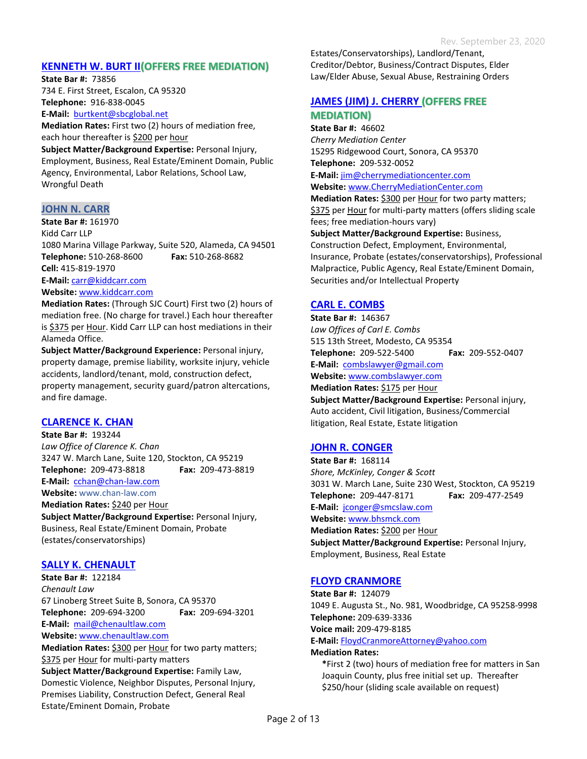## **KENNETH W. BURT II (OFFERS FREE MEDIATION)**

**State Bar #:** 73856 734 E. First Street, Escalon, CA 95320 **Telephone:** 916-838-0045 **E-Mail:** [burtkent@sbcglobal.net](mailto:burtkent@sbcglobal.net)

**Mediation Rates:** First two (2) hours of mediation free, each hour thereafter is \$200 per hour

**Subject Matter/Background Expertise:** Personal Injury, Employment, Business, Real Estate/Eminent Domain, Public Agency, Environmental, Labor Relations, School Law, Wrongful Death

### **JOHN N. CARR**

**State Bar #:** 161970 Kidd Carr LLP 1080 Marina Village Parkway, Suite 520, Alameda, CA 94501 **Telephone:** 510-268-8600 **Fax:** 510-268-8682 **Cell:** 415-819-1970 **E-Mail:** [carr@kiddcarr.com](mailto:carr@kiddcarr.com)

**Website:** [www.kiddcarr.com](http://www.kiddcarr.com/)

**Mediation Rates:** (Through SJC Court) First two (2) hours of mediation free. (No charge for travel.) Each hour thereafter is \$375 per Hour. Kidd Carr LLP can host mediations in their Alameda Office.

**Subject Matter/Background Experience:** Personal injury, property damage, premise liability, worksite injury, vehicle accidents, landlord/tenant, mold, construction defect, property management, security guard/patron altercations, and fire damage.

## **CLARENCE K. CHAN**

**State Bar #:** 193244 *Law Office of Clarence K. Chan* 3247 W. March Lane, Suite 120, Stockton, CA 95219 **Telephone:** 209-473-8818 **Fax:** 209-473-8819 **E-Mail:** [cchan@chan-law.com](mailto:cchan@chan-law.com) **Website:** www.chan-law.com **Mediation Rates: \$240 per Hour** 

**Subject Matter/Background Expertise:** Personal Injury, Business, Real Estate/Eminent Domain, Probate (estates/conservatorships)

## **SALLY K. CHENAULT**

**State Bar #:** 122184 *Chenault Law* 67 Linoberg Street Suite B, Sonora, CA 95370 **Telephone:** 209-694-3200 **Fax:** 209-694-3201 **E-Mail:** [mail@chenaultlaw.com](mailto:mail@chenaultlaw.com) **Website:** [www.chenaultlaw.com](http://www.chenaultlaw.com/) **Mediation Rates:** \$300 per Hour for two party matters; \$375 per Hour for multi-party matters

**Subject Matter/Background Expertise:** Family Law, Domestic Violence, Neighbor Disputes, Personal Injury, Premises Liability, Construction Defect, General Real Estate/Eminent Domain, Probate

Estates/Conservatorships), Landlord/Tenant, Creditor/Debtor, Business/Contract Disputes, Elder Law/Elder Abuse, Sexual Abuse, Restraining Orders

# **JAMES (JIM) J. CHERRY MEDIATION)**

**State Bar #:** 46602 *Cherry Mediation Center* 15295 Ridgewood Court, Sonora, CA 95370 **Telephone:** 209-532-0052 **E-Mail:** [jim@cherrymediationcenter.com](mailto:jim@cherrymediationcenter.com) **Website:** [www.CherryMediationCenter.com](http://www.cherrymediationcenter.com/)

**Mediation Rates: \$300 per Hour for two party matters;** \$375 per Hour for multi-party matters (offers sliding scale fees; free mediation-hours vary)

**Subject Matter/Background Expertise:** Business, Construction Defect, Employment, Environmental, Insurance, Probate (estates/conservatorships), Professional Malpractice, Public Agency, Real Estate/Eminent Domain, Securities and/or Intellectual Property

### **CARL E. COMBS**

**State Bar #:** 146367 *Law Offices of Carl E. Combs* 515 13th Street, Modesto, CA 95354 **Telephone:** 209-522-5400 **Fax:** 209-552-0407 **E-Mail:** [combslawyer@gmail.com](mailto:combslawyer@gmail.com) **Website:** [www.combslawyer.com](http://www.combslawyer.com/) **Mediation Rates: \$175 per Hour Subject Matter/Background Expertise:** Personal injury, Auto accident, Civil litigation, Business/Commercial litigation, Real Estate, Estate litigation

## **JOHN R. CONGER**

**State Bar #:** 168114 *Shore, McKinley, Conger & Scott* 3031 W. March Lane, Suite 230 West, Stockton, CA 95219 **Telephone:** 209-447-8171 **Fax:** 209-477-2549 **E-Mail:** [jconger@smcslaw.com](mailto:jconger@smcslaw.com) **Website:** [www.bhsmck.com](http://www.bhsmck.com/) **Mediation Rates:** \$200 per Hour **Subject Matter/Background Expertise:** Personal Injury, Employment, Business, Real Estate

#### **FLOYD CRANMORE**

**State Bar #:** 124079 1049 E. Augusta St., No. 981, Woodbridge, CA 95258-9998 **Telephone:** 209-639-3336 **Voice mail:** 209-479-8185

# **E-Mail:** [FloydCranmoreAttorney@yahoo.com](mailto:FloydCranmoreAttorney@yahoo.com)

#### **Mediation Rates:**

**\***First 2 (two) hours of mediation free for matters in San Joaquin County, plus free initial set up. Thereafter \$250/hour (sliding scale available on request)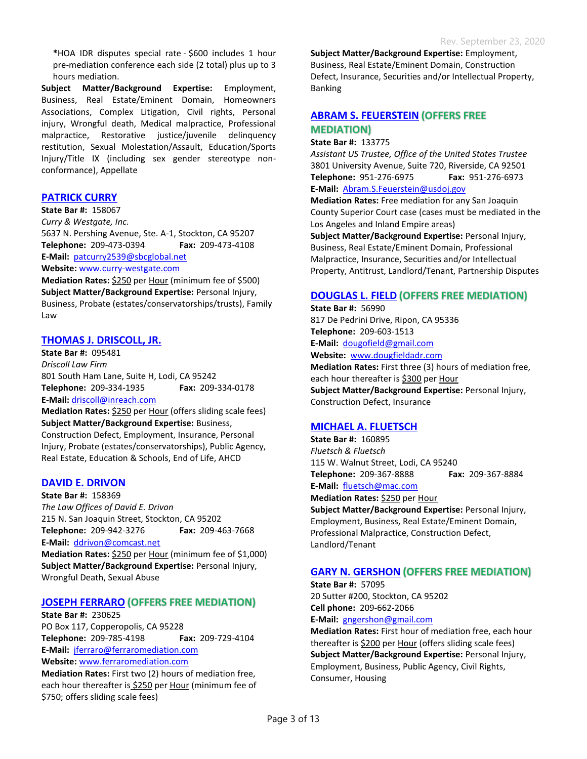**\***HOA IDR disputes special rate - \$600 includes 1 hour pre-mediation conference each side (2 total) plus up to 3 hours mediation.

**Subject Matter/Background Expertise:** Employment, Business, Real Estate/Eminent Domain, Homeowners Associations, Complex Litigation, Civil rights, Personal injury, Wrongful death, Medical malpractice, Professional malpractice, Restorative justice/juvenile delinquency restitution, Sexual Molestation/Assault, Education/Sports Injury/Title IX (including sex gender stereotype nonconformance), Appellate

# **PATRICK CURRY**

**State Bar #:** 158067 *Curry & Westgate, Inc.* 5637 N. Pershing Avenue, Ste. A-1, Stockton, CA 95207 **Telephone:** 209-473-0394 **Fax:** 209-473-4108 **E-Mail:** [patcurry2539@sbcglobal.net](mailto:patcurry2539@sbcglobal.net) **Website:** [www.curry-westgate.com](http://www.curry-westgate.com/)

**Mediation Rates: \$250 per Hour (minimum fee of \$500) Subject Matter/Background Expertise:** Personal Injury, Business, Probate (estates/conservatorships/trusts), Family Law

## **THOMAS J. DRISCOLL, JR.**

**State Bar #:** 095481 *Driscoll Law Firm* 801 South Ham Lane, Suite H, Lodi, CA 95242 **Telephone:** 209-334-1935 **Fax:** 209-334-0178 **E-Mail:** [driscoll@inreach.com](mailto:driscoll@inreach.com)

**Mediation Rates:** \$250 per Hour (offers sliding scale fees) **Subject Matter/Background Expertise:** Business, Construction Defect, Employment, Insurance, Personal Injury, Probate (estates/conservatorships), Public Agency, Real Estate, Education & Schools, End of Life, AHCD

## **DAVID E. DRIVON**

**State Bar #:** 158369 *The Law Offices of David E. Drivon* 215 N. San Joaquin Street, Stockton, CA 95202 **Telephone:** 209-942-3276 **Fax:** 209-463-7668 **E-Mail:** [ddrivon@comcast.net](mailto:ddrivon@comcast.net)

**Mediation Rates:** \$250 per Hour (minimum fee of \$1,000) **Subject Matter/Background Expertise:** Personal Injury, Wrongful Death, Sexual Abuse

## **JOSEPH FERRARO**

**State Bar #:** 230625 PO Box 117, Copperopolis, CA 95228 **Telephone:** 209-785-4198 **Fax:** 209-729-4104 **E-Mail:** [jferraro@ferraromediation.com](mailto:jferraro@ferraromediation.com) **Website:** [www.ferraromediation.com](http://www.ferraromediation.com/)

**Mediation Rates:** First two (2) hours of mediation free, each hour thereafter is \$250 per Hour (minimum fee of \$750; offers sliding scale fees)

**Subject Matter/Background Expertise:** Employment, Business, Real Estate/Eminent Domain, Construction Defect, Insurance, Securities and/or Intellectual Property, Banking

## **ABRAM S. FEUERSTEIN (OFFERS FREE MEDIATION**

#### **State Bar #:** 133775

*Assistant US Trustee, Office of the United States Trustee* 3801 University Avenue, Suite 720, Riverside, CA 92501 **Telephone:** 951-276-6975 **Fax:** 951-276-6973 **E-Mail:** [Abram.S.Feuerstein@usdoj.gov](mailto:Abram.S.Feuerstein@usdoj.gov)

**Mediation Rates:** Free mediation for any San Joaquin County Superior Court case (cases must be mediated in the Los Angeles and Inland Empire areas)

**Subject Matter/Background Expertise:** Personal Injury, Business, Real Estate/Eminent Domain, Professional Malpractice, Insurance, Securities and/or Intellectual Property, Antitrust, Landlord/Tenant, Partnership Disputes

## **DOUGLAS L. FIELD**

**State Bar #:** 56990 817 De Pedrini Drive, Ripon, CA 95336 **Telephone:** 209-603-1513 **E-Mail:** [dougofield@gmail.com](mailto:dougofield@gmail.com) **Website:** [www.dougfieldadr.com](http://www.dougfieldadr.com/) **Mediation Rates:** First three (3) hours of mediation free,

each hour thereafter is \$300 per Hour **Subject Matter/Background Expertise:** Personal Injury, Construction Defect, Insurance

## **MICHAEL A. FLUETSCH**

**State Bar #:** 160895 *Fluetsch & Fluetsch* 115 W. Walnut Street, Lodi, CA 95240 **Telephone:** 209-367-8888 **Fax:** 209-367-8884 **E-Mail:** [fluetsch@mac.com](mailto:fluetsch@mac.com)

**Mediation Rates:** \$250 per Hour **Subject Matter/Background Expertise:** Personal Injury, Employment, Business, Real Estate/Eminent Domain, Professional Malpractice, Construction Defect, Landlord/Tenant

# **GARY N. GERSHON**

**State Bar #:** 57095 20 Sutter #200, Stockton, CA 95202 **Cell phone:** 209-662-2066 **E-Mail:** [gngershon@gmail.com](mailto:gngershon@gmail.com)

**Mediation Rates:** First hour of mediation free, each hour thereafter is \$200 per Hour (offers sliding scale fees) **Subject Matter/Background Expertise:** Personal Injury, Employment, Business, Public Agency, Civil Rights, Consumer, Housing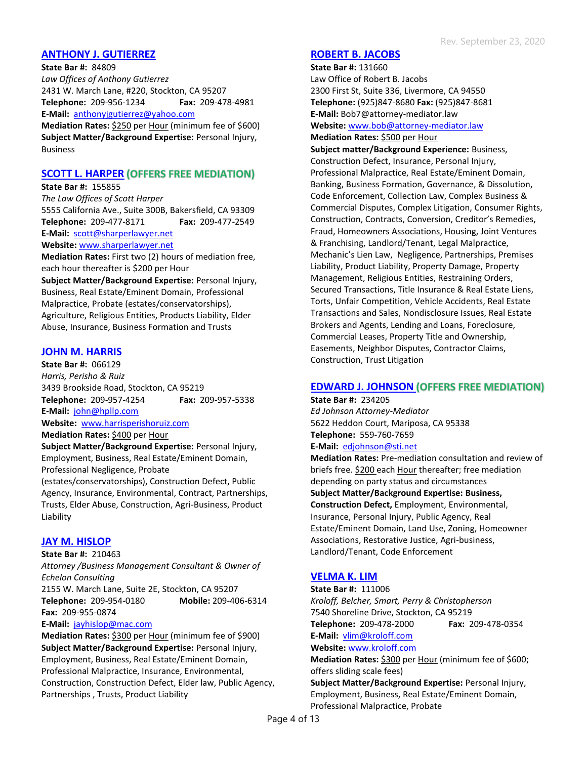## **ANTHONY J. GUTIERREZ**

**State Bar #:** 84809 *Law Offices of Anthony Gutierrez* 2431 W. March Lane, #220, Stockton, CA 95207 **Telephone:** 209-956-1234 **Fax:** 209-478-4981 **E-Mail:** [anthonyjgutierrez@yahoo.com](mailto:anthonygutierrez@yahoo.com) **Mediation Rates: \$250 per Hour (minimum fee of \$600)** 

**Subject Matter/Background Expertise:** Personal Injury, Business

## **SCOTT L. HARPER (OFFERS FREE MEDIATION)**

#### **State Bar #:** 155855

*The Law Offices of Scott Harper* 5555 California Ave., Suite 300B, Bakersfield, CA 93309 **Telephone:** 209-477-8171 **Fax:** 209-477-2549 **E-Mail:** [scott@sharperlawyer.net](mailto:scott@sharperlawyer.net) **Website:** [www.sharperlawyer.net](http://www.sharperlawyer.net/)

**Mediation Rates:** First two (2) hours of mediation free, each hour thereafter is \$200 per Hour

**Subject Matter/Background Expertise:** Personal Injury, Business, Real Estate/Eminent Domain, Professional Malpractice, Probate (estates/conservatorships), Agriculture, Religious Entities, Products Liability, Elder Abuse, Insurance, Business Formation and Trusts

# **JOHN M. HARRIS**

**State Bar #:** 066129 *Harris, Perisho & Ruiz* 3439 Brookside Road, Stockton, CA 95219 **Telephone:** 209-957-4254 **Fax:** 209-957-5338

**E-Mail:** [john@hpllp.com](mailto:john@hpllp.com)

**Website:** [www.harrisperishoruiz.com](http://www.harrisperishoruiz.com/)

#### **Mediation Rates:** \$400 per Hour

**Subject Matter/Background Expertise:** Personal Injury, Employment, Business, Real Estate/Eminent Domain, Professional Negligence, Probate

(estates/conservatorships), Construction Defect, Public Agency, Insurance, Environmental, Contract, Partnerships, Trusts, Elder Abuse, Construction, Agri-Business, Product Liability

# **JAY M. HISLOP**

**State Bar #:** 210463 *Attorney /Business Management Consultant & Owner of Echelon Consulting* 2155 W. March Lane, Suite 2E, Stockton, CA 95207 **Telephone:** 209-954-0180 **Mobile:** 209-406-6314 **Fax:** 209-955-0874

#### **E-Mail:** [jayhislop@mac.com](mailto:jayhislop@mac.com)

**Mediation Rates:** \$300 per Hour (minimum fee of \$900) **Subject Matter/Background Expertise:** Personal Injury, Employment, Business, Real Estate/Eminent Domain, Professional Malpractice, Insurance, Environmental, Construction, Construction Defect, Elder law, Public Agency, Partnerships , Trusts, Product Liability

### **ROBERT B. JACOBS**

**State Bar #:** 131660 Law Office of Robert B. Jacobs 2300 First St, Suite 336, Livermore, CA 94550 **Telephone:** (925)847-8680 **Fax:** (925)847-8681 **E-Mail:** Bob7@attorney-mediator.law **Website:** [www.bob@attorney-mediator.law](http://www.bob@attorney-mediator.law)

#### **Mediation Rates:** \$500 per Hour

**Subject matter/Background Experience:** Business, Construction Defect, Insurance, Personal Injury, Professional Malpractice, Real Estate/Eminent Domain, Banking, Business Formation, Governance, & Dissolution, Code Enforcement, Collection Law, Complex Business & Commercial Disputes, Complex Litigation, Consumer Rights, Construction, Contracts, Conversion, Creditor's Remedies, Fraud, Homeowners Associations, Housing, Joint Ventures & Franchising, Landlord/Tenant, Legal Malpractice, Mechanic's Lien Law, Negligence, Partnerships, Premises Liability, Product Liability, Property Damage, Property Management, Religious Entities, Restraining Orders, Secured Transactions, Title Insurance & Real Estate Liens, Torts, Unfair Competition, Vehicle Accidents, Real Estate Transactions and Sales, Nondisclosure Issues, Real Estate Brokers and Agents, Lending and Loans, Foreclosure, Commercial Leases, Property Title and Ownership, Easements, Neighbor Disputes, Contractor Claims, Construction, Trust Litigation

# **EDWARD J. JOHNSON**

**State Bar #:** 234205 *Ed Johnson Attorney-Mediator* 5622 Heddon Court, Mariposa, CA 95338 **Telephone:** 559-760-7659

### **E-Mail:** [edjohnson@st](mailto:edjohnson@s)i.net

**Mediation Rates:** Pre-mediation consultation and review of briefs free. \$200 each Hour thereafter; free mediation depending on party status and circumstances **Subject Matter/Background Expertise: Business, Construction Defect,** Employment, Environmental, Insurance, Personal Injury, Public Agency, Real Estate/Eminent Domain, Land Use, Zoning, Homeowner Associations, Restorative Justice, Agri-business, Landlord/Tenant, Code Enforcement

# **VELMA K. LIM**

**State Bar #:** 111006 *Kroloff, Belcher, Smart, Perry & Christopherson* 7540 Shoreline Drive, Stockton, CA 95219 **Telephone:** 209-478-2000 **Fax:** 209-478-0354 **E-Mail:** [vlim@kroloff.com](mailto:vlim@kroloff.com) **Website:** [www.kroloff.com](http://www.kroloff.com/) **Mediation Rates:** \$300 per Hour (minimum fee of \$600; offers sliding scale fees)

**Subject Matter/Background Expertise:** Personal Injury, Employment, Business, Real Estate/Eminent Domain, Professional Malpractice, Probate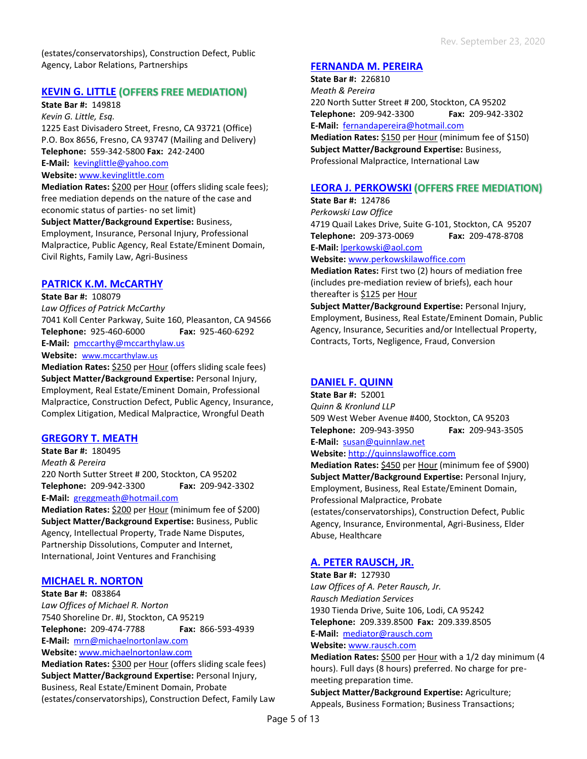(estates/conservatorships), Construction Defect, Public Agency, Labor Relations, Partnerships

## **KEVIN G. LITTLE (OFFERS FREE MEDIATION)**

**State Bar #:** 149818

*Kevin G. Little, Esq.* 1225 East Divisadero Street, Fresno, CA 93721 (Office) P.O. Box 8656, Fresno, CA 93747 (Mailing and Delivery) **Telephone:** 559-342-5800 **Fax:** 242-2400 **E-Mail:** [kevinglittle@yahoo.com](mailto:kevinglittle@yahoo.com)

**Website:** [www.kevinglittle.com](http://www.kevinglittle.com/)

**Mediation Rates:** \$200 per Hour (offers sliding scale fees); free mediation depends on the nature of the case and economic status of parties- no set limit)

**Subject Matter/Background Expertise:** Business,

Employment, Insurance, Personal Injury, Professional Malpractice, Public Agency, Real Estate/Eminent Domain, Civil Rights, Family Law, Agri-Business

### **PATRICK K.M. McCARTHY**

**State Bar #:** 108079 *Law Offices of Patrick McCarthy* 7041 Koll Center Parkway, Suite 160, Pleasanton, CA 94566 **Telephone:** 925-460-6000 **Fax:** 925-460-6292 **E-Mail:** [pmccarthy@mccarthylaw.us](mailto:pmccarthy@mccarthylaw.us) Website: [www.mccarthylaw.us](http://www.mccarthylaw.us/)

**Mediation Rates:** \$250 per Hour (offers sliding scale fees) **Subject Matter/Background Expertise:** Personal Injury, Employment, Real Estate/Eminent Domain, Professional Malpractice, Construction Defect, Public Agency, Insurance, Complex Litigation, Medical Malpractice, Wrongful Death

## **GREGORY T. MEATH**

**State Bar #:** 180495 *Meath & Pereira* 220 North Sutter Street # 200, Stockton, CA 95202 **Telephone:** 209-942-3300 **Fax:** 209-942-3302 **E-Mail:** [greggmeath@hotmail.com](mailto:greggmeath@hotmail.com)

**Mediation Rates:** \$200 per Hour (minimum fee of \$200) **Subject Matter/Background Expertise:** Business, Public Agency, Intellectual Property, Trade Name Disputes, Partnership Dissolutions, Computer and Internet, International, Joint Ventures and Franchising

#### **MICHAEL R. NORTON**

**State Bar #:** 083864 *Law Offices of Michael R. Norton* 7540 Shoreline Dr. #J, Stockton, CA 95219 **Telephone:** 209-474-7788 **Fax:** 866-593-4939 **E-Mail:** [mrn@michaelnortonlaw.com](mailto:mrn@michaelnortonlaw.com) **Website:** [www.michaelnortonlaw.com](http://www.michaelnortonlaw.com/)

**Mediation Rates:** \$300 per Hour (offers sliding scale fees) **Subject Matter/Background Expertise:** Personal Injury, Business, Real Estate/Eminent Domain, Probate (estates/conservatorships), Construction Defect, Family Law

## **FERNANDA M. PEREIRA**

**State Bar #:** 226810 *Meath & Pereira* 220 North Sutter Street # 200, Stockton, CA 95202 **Telephone:** 209-942-3300 **Fax:** 209-942-3302 **E-Mail:** [fernandapereira@hotmail.com](mailto:fernandapereira@hotmail.com)

**Mediation Rates:** \$150 per Hour (minimum fee of \$150) **Subject Matter/Background Expertise:** Business, Professional Malpractice, International Law

## **LEORA J. PERKOWSKI**

**State Bar #:** 124786 *Perkowski Law Office* 4719 Quail Lakes Drive, Suite G-101, Stockton, CA 95207 **Telephone:** 209-373-0069 **Fax:** 209-478-8708 **E-Mail:** [lperkowski@aol.com](mailto:lperkowski@aol.com)

**Website:** [www.perkowskilawoffice.com](http://www.perkowskilawoffice.com/)

**Mediation Rates:** First two (2) hours of mediation free (includes pre-mediation review of briefs), each hour thereafter is \$125 per Hour

**Subject Matter/Background Expertise:** Personal Injury, Employment, Business, Real Estate/Eminent Domain, Public Agency, Insurance, Securities and/or Intellectual Property, Contracts, Torts, Negligence, Fraud, Conversion

## **DANIEL F. QUINN**

**State Bar #:** 52001 *Quinn & Kronlund LLP* 509 West Weber Avenue #400, Stockton, CA 95203 **Telephone:** 209-943-3950 **Fax:** 209-943-3505 **E-Mail:** [susan@quinnlaw.net](mailto:susan@quinnlaw.net)

#### **Website:** [http://quinnslawoffice.com](http://quinnslawoffice.com/)

**Mediation Rates:** \$450 per Hour (minimum fee of \$900) **Subject Matter/Background Expertise:** Personal Injury, Employment, Business, Real Estate/Eminent Domain, Professional Malpractice, Probate (estates/conservatorships), Construction Defect, Public Agency, Insurance, Environmental, Agri-Business, Elder Abuse, Healthcare

## **A. PETER RAUSCH, JR.**

**State Bar #:** 127930 *Law Offices of A. Peter Rausch, Jr. Rausch Mediation Services* 1930 Tienda Drive, Suite 106, Lodi, CA 95242 **Telephone:** 209.339.8500 **Fax:** 209.339.8505 **E-Mail:** [mediator@rausch.com](mailto:mediator@rausch.com) **Website:** [www.rausch.com](http://www.rausch.com/)

**Mediation Rates:** \$500 per Hour with a 1/2 day minimum (4 hours). Full days (8 hours) preferred. No charge for premeeting preparation time.

**Subject Matter/Background Expertise:** Agriculture; Appeals, Business Formation; Business Transactions;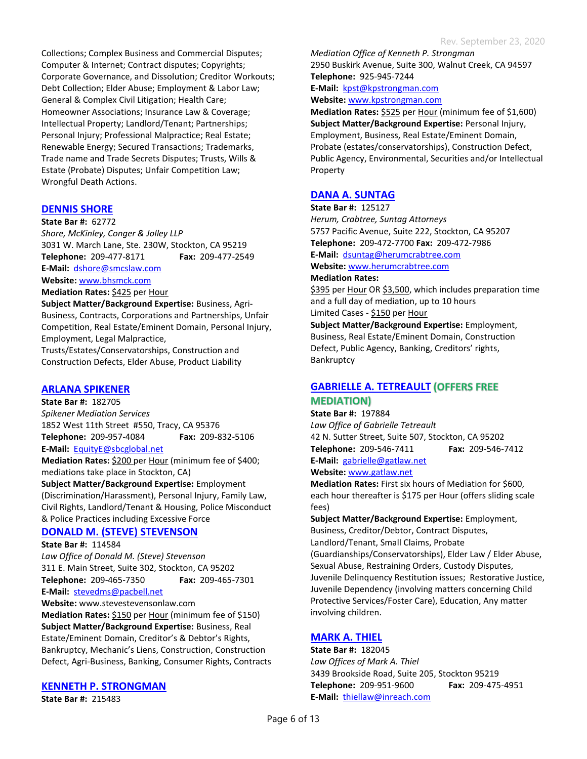Collections; Complex Business and Commercial Disputes; Computer & Internet; Contract disputes; Copyrights; Corporate Governance, and Dissolution; Creditor Workouts; Debt Collection; Elder Abuse; Employment & Labor Law; General & Complex Civil Litigation; Health Care; Homeowner Associations; Insurance Law & Coverage; Intellectual Property; Landlord/Tenant; Partnerships; Personal Injury; Professional Malpractice; Real Estate; Renewable Energy; Secured Transactions; Trademarks, Trade name and Trade Secrets Disputes; Trusts, Wills & Estate (Probate) Disputes; Unfair Competition Law; Wrongful Death Actions.

## **DENNIS SHORE**

#### **State Bar #:** 62772

*Shore, McKinley, Conger & Jolley LLP* 3031 W. March Lane, Ste. 230W, Stockton, CA 95219 **Telephone:** 209-477-8171 **Fax:** 209-477-2549 **E-Mail:** [dshore@smcslaw.com](mailto:dshore@smcslaw.com) **Website:** [www.bhsmck.com](http://www.bhsmck.com/)

**Mediation Rates:** \$425 per Hour

**Subject Matter/Background Expertise:** Business, Agri-Business, Contracts, Corporations and Partnerships, Unfair Competition, Real Estate/Eminent Domain, Personal Injury, Employment, Legal Malpractice,

Trusts/Estates/Conservatorships, Construction and Construction Defects, Elder Abuse, Product Liability

#### **ARLANA SPIKENER**

**State Bar #:** 182705 *Spikener Mediation Services* 1852 West 11th Street #550, Tracy, CA 95376 **Telephone:** 209-957-4084 **Fax:** 209-832-5106 **E-Mail:** [EquityE@sbcglobal.net](mailto:EquityE@sbcglobal.net)

**Mediation Rates:** \$200 per Hour (minimum fee of \$400; mediations take place in Stockton, CA)

**Subject Matter/Background Expertise:** Employment (Discrimination/Harassment), Personal Injury, Family Law, Civil Rights, Landlord/Tenant & Housing, Police Misconduct & Police Practices including Excessive Force

## **DONALD M. (STEVE) STEVENSON**

**State Bar #:** 114584

*Law Office of Donald M. (Steve) Stevenson* 311 E. Main Street, Suite 302, Stockton, CA 95202 **Telephone:** 209-465-7350 **Fax:** 209-465-7301 **E-Mail:** [stevedms@pacbell.net](mailto:stevedms@pacbell.net)

**Website:** www.stevestevensonlaw.com

**Mediation Rates:** \$150 per Hour (minimum fee of \$150) **Subject Matter/Background Expertise:** Business, Real Estate/Eminent Domain, Creditor's & Debtor's Rights, Bankruptcy, Mechanic's Liens, Construction, Construction Defect, Agri-Business, Banking, Consumer Rights, Contracts

#### **KENNETH P. STRONGMAN**

**State Bar #:** 215483

*Mediation Office of Kenneth P. Strongman* 2950 Buskirk Avenue, Suite 300, Walnut Creek, CA 94597 **Telephone:** 925-945-7244 **E-Mail:** [kpst@kpstrongman.com](mailto:kpst@kpstrongman.com)

**Website:** [www.kpstrongman.com](http://www.kpstrongman.com/)

**Mediation Rates:** \$525 per Hour (minimum fee of \$1,600) **Subject Matter/Background Expertise:** Personal Injury, Employment, Business, Real Estate/Eminent Domain, Probate (estates/conservatorships), Construction Defect, Public Agency, Environmental, Securities and/or Intellectual Property

## **DANA A. SUNTAG**

**State Bar #:** 125127 *Herum, Crabtree, Suntag Attorneys* 5757 Pacific Avenue, Suite 222, Stockton, CA 95207 **Telephone:** 209-472-7700 **Fax:** 209-472-7986 **E-Mail:** [dsuntag@herumcrabtree.com](mailto:dsuntag@herumcrabtree.com) **Website:** [www.herumcrabtree.com](http://www.herumcrabtree.com/)

# **Mediation Rates:**

\$395 per Hour OR \$3,500, which includes preparation time and a full day of mediation, up to 10 hours Limited Cases - \$150 per Hour

**Subject Matter/Background Expertise:** Employment, Business, Real Estate/Eminent Domain, Construction Defect, Public Agency, Banking, Creditors' rights, Bankruptcy

# **GABRIELLE A. TETREAULT MEDIATION)**

**State Bar #:** 197884 *Law Office of Gabrielle Tetreault* 42 N. Sutter Street, Suite 507, Stockton, CA 95202 **Telephone:** 209-546-7411 **Fax:** 209-546-7412 **E-Mail:** [gabrielle@gatlaw.net](mailto:Gabrielle@gatlaw.net) **Website:** [www.gatlaw.net](http://gatlaw.net/)

**Mediation Rates:** First six hours of Mediation for \$600, each hour thereafter is \$175 per Hour (offers sliding scale fees)

**Subject Matter/Background Expertise:** Employment, Business, Creditor/Debtor, Contract Disputes, Landlord/Tenant, Small Claims, Probate (Guardianships/Conservatorships), Elder Law / Elder Abuse, Sexual Abuse, Restraining Orders, Custody Disputes, Juvenile Delinquency Restitution issues; Restorative Justice, Juvenile Dependency (involving matters concerning Child Protective Services/Foster Care), Education, Any matter involving children.

## **MARK A. THIEL**

**State Bar #:** 182045 *Law Offices of Mark A. Thiel* 3439 Brookside Road, Suite 205, Stockton 95219 **Telephone:** 209-951-9600 **Fax:** 209-475-4951 **E-Mail:** [thiellaw@inreach.com](mailto:thiellaw@inreach.com)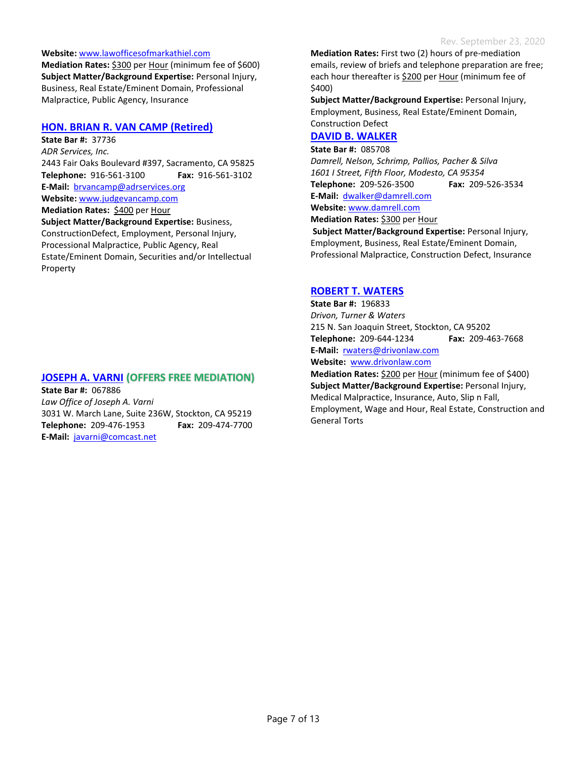#### **Website:** [www.lawofficesofmarkathiel.com](http://www.lawofficesofmarkathiel.com/)

**Mediation Rates:** \$300 per Hour (minimum fee of \$600) **Subject Matter/Background Expertise:** Personal Injury, Business, Real Estate/Eminent Domain, Professional Malpractice, Public Agency, Insurance

## **HON. BRIAN R. VAN CAMP (Retired)**

**State Bar #:** 37736 *ADR Services, Inc.* 2443 Fair Oaks Boulevard #397, Sacramento, CA 95825 **Telephone:** 916-561-3100 **Fax:** 916-561-3102 **E-Mail:** [brvancamp@adrservices.org](mailto:brvancamp@adrservices.org) **Website:** [www.judgevancamp.com](http://www.judgevancamp.com/) **Mediation Rates: \$400 per Hour Subject Matter/Background Expertise:** Business, ConstructionDefect, Employment, Personal Injury, Processional Malpractice, Public Agency, Real Estate/Eminent Domain, Securities and/or Intellectual Property

## **JOSEPH A. VARNI (OFFERS FREE MEDIATION)**

**State Bar #:** 067886 *Law Office of Joseph A. Varni* 3031 W. March Lane, Suite 236W, Stockton, CA 95219 **Telephone:** 209-476-1953 **Fax:** 209-474-7700 **E-Mail:** [javarni@comcast.net](mailto:javarni@comcast.net)

**Mediation Rates:** First two (2) hours of pre-mediation emails, review of briefs and telephone preparation are free; each hour thereafter is \$200 per Hour (minimum fee of \$400)

**Subject Matter/Background Expertise:** Personal Injury, Employment, Business, Real Estate/Eminent Domain, Construction Defect

## **DAVID B. WALKER**

**State Bar #:** 085708 *Damrell, Nelson, Schrimp, Pallios, Pacher & Silva 1601 I Street, Fifth Floor, Modesto, CA 95354* **Telephone:** 209-526-3500 **Fax:** 209-526-3534 **E-Mail:** [dwalker@damrell.com](mailto:dwalker@damrell.com) **Website:** [www.damrell.com](http://www.damrell.com/)

**Mediation Rates:** \$300 per Hour

**Subject Matter/Background Expertise:** Personal Injury, Employment, Business, Real Estate/Eminent Domain, Professional Malpractice, Construction Defect, Insurance

## **ROBERT T. WATERS**

**State Bar #:** 196833 *Drivon, Turner & Waters* 215 N. San Joaquin Street, Stockton, CA 95202 **Telephone:** 209-644-1234 **Fax:** 209-463-7668 **E-Mail:** [rwaters@drivonlaw.com](mailto:rwaters@drivonlaw.com) **Website:** [www.drivonlaw.com](http://www.drivonlaw.com/)

**Mediation Rates:** \$200 per Hour (minimum fee of \$400) **Subject Matter/Background Expertise:** Personal Injury, Medical Malpractice, Insurance, Auto, Slip n Fall, Employment, Wage and Hour, Real Estate, Construction and General Torts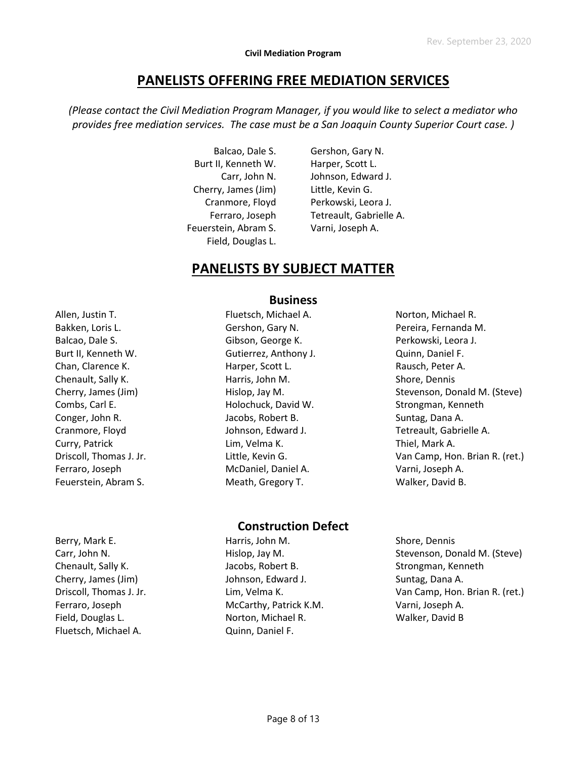# **PANELISTS OFFERING FREE MEDIATION SERVICES**

*(Please contact the Civil Mediation Program Manager, if you would like to select a mediator who provides free mediation services. The case must be a San Joaquin County Superior Court case. )*

> Balcao, Dale S. Burt II, Kenneth W. Carr, John N. Cherry, James (Jim) Cranmore, Floyd Ferraro, Joseph Feuerstein, Abram S. Field, Douglas L.

Gershon, Gary N. Harper, Scott L. Johnson, Edward J. Little, Kevin G. Perkowski, Leora J. Tetreault, Gabrielle A. Varni, Joseph A.

# **PANELISTS BY SUBJECT MATTER**

Allen, Justin T. Bakken, Loris L. Balcao, Dale S. Burt II, Kenneth W. Chan, Clarence K. Chenault, Sally K. Cherry, James (Jim) Combs, Carl E. Conger, John R. Cranmore, Floyd Curry, Patrick Driscoll, Thomas J. Jr. Ferraro, Joseph Feuerstein, Abram S.

## **Business**

Fluetsch, Michael A. Gershon, Gary N. Gibson, George K. Gutierrez, Anthony J. Harper, Scott L. Harris, John M. Hislop, Jay M. Holochuck, David W. Jacobs, Robert B. Johnson, Edward J. Lim, Velma K. Little, Kevin G. McDaniel, Daniel A. Meath, Gregory T.

# Norton, Michael R. Pereira, Fernanda M. Perkowski, Leora J. Quinn, Daniel F. Rausch, Peter A. Shore, Dennis Stevenson, Donald M. (Steve) Strongman, Kenneth Suntag, Dana A. Tetreault, Gabrielle A. Thiel, Mark A. Van Camp, Hon. Brian R. (ret.) Varni, Joseph A. Walker, David B.

# **Construction Defect**

Berry, Mark E. Carr, John N. Chenault, Sally K. Cherry, James (Jim) Driscoll, Thomas J. Jr. Ferraro, Joseph Field, Douglas L. Fluetsch, Michael A.

Harris, John M. Hislop, Jay M. Jacobs, Robert B. Johnson, Edward J. Lim, Velma K. McCarthy, Patrick K.M. Norton, Michael R. Quinn, Daniel F.

Shore, Dennis Stevenson, Donald M. (Steve) Strongman, Kenneth Suntag, Dana A. Van Camp, Hon. Brian R. (ret.) Varni, Joseph A. Walker, David B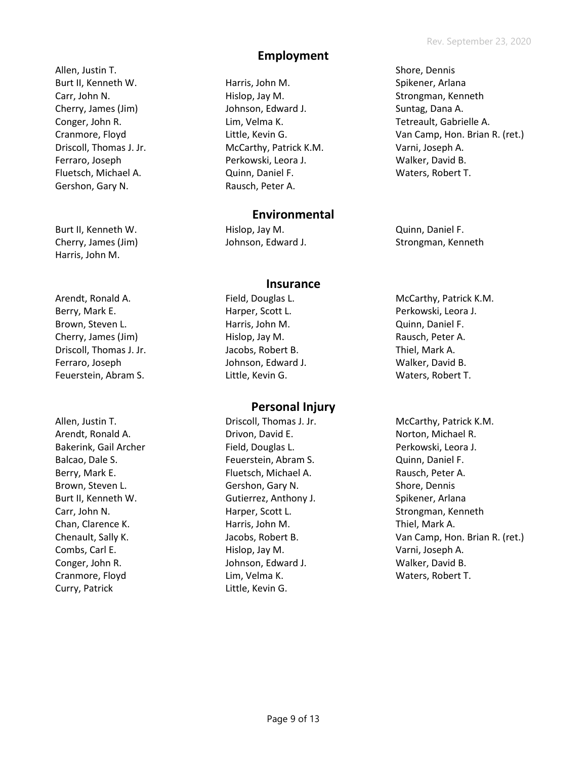Allen, Justin T. Burt II, Kenneth W. Carr, John N. Cherry, James (Jim) Conger, John R. Cranmore, Floyd Driscoll, Thomas J. Jr. Ferraro, Joseph Fluetsch, Michael A. Gershon, Gary N.

Burt II, Kenneth W. Cherry, James (Jim) Harris, John M.

Arendt, Ronald A. Berry, Mark E. Brown, Steven L. Cherry, James (Jim) Driscoll, Thomas J. Jr. Ferraro, Joseph Feuerstein, Abram S.

Allen, Justin T. Arendt, Ronald A. Bakerink, Gail Archer Balcao, Dale S. Berry, Mark E. Brown, Steven L. Burt II, Kenneth W. Carr, John N. Chan, Clarence K. Chenault, Sally K. Combs, Carl E. Conger, John R. Cranmore, Floyd Curry, Patrick

# **Employment**

Harris, John M. Hislop, Jay M. Johnson, Edward J. Lim, Velma K. Little, Kevin G. McCarthy, Patrick K.M. Perkowski, Leora J. Quinn, Daniel F. Rausch, Peter A.

# **Environmental**

Hislop, Jay M. Johnson, Edward J.

## **Insurance**

Field, Douglas L. Harper, Scott L. Harris, John M. Hislop, Jay M. Jacobs, Robert B. Johnson, Edward J. Little, Kevin G.

# **Personal Injury**

Driscoll, Thomas J. Jr. Drivon, David E. Field, Douglas L. Feuerstein, Abram S. Fluetsch, Michael A. Gershon, Gary N. Gutierrez, Anthony J. Harper, Scott L. Harris, John M. Jacobs, Robert B. Hislop, Jay M. Johnson, Edward J. Lim, Velma K. Little, Kevin G.

Shore, Dennis Spikener, Arlana Strongman, Kenneth Suntag, Dana A. Tetreault, Gabrielle A. Van Camp, Hon. Brian R. (ret.) Varni, Joseph A. Walker, David B. Waters, Robert T.

Quinn, Daniel F. Strongman, Kenneth

- McCarthy, Patrick K.M. Perkowski, Leora J. Quinn, Daniel F. Rausch, Peter A. Thiel, Mark A. Walker, David B. Waters, Robert T.
- McCarthy, Patrick K.M. Norton, Michael R. Perkowski, Leora J. Quinn, Daniel F. Rausch, Peter A. Shore, Dennis Spikener, Arlana Strongman, Kenneth Thiel, Mark A. Van Camp, Hon. Brian R. (ret.) Varni, Joseph A. Walker, David B. Waters, Robert T.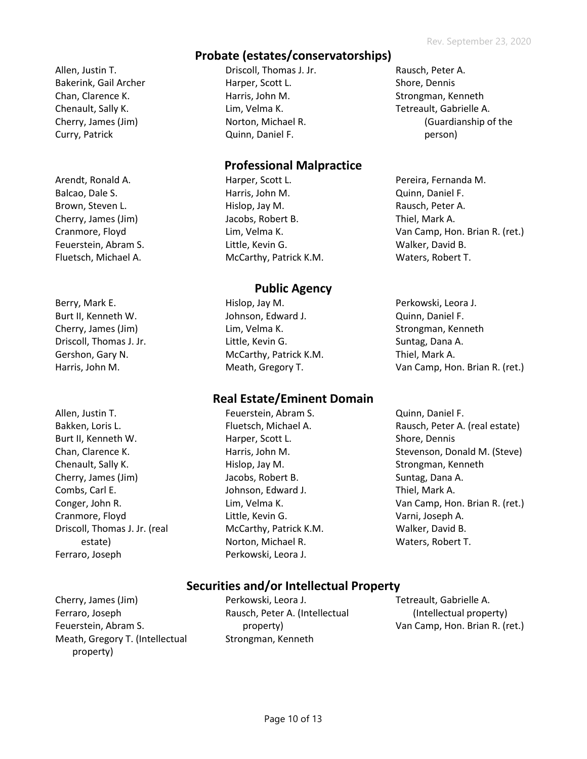# **Probate (estates/conservatorships)**

Allen, Justin T. Bakerink, Gail Archer Chan, Clarence K. Chenault, Sally K. Cherry, James (Jim) Curry, Patrick

Arendt, Ronald A. Balcao, Dale S. Brown, Steven L. Cherry, James (Jim) Cranmore, Floyd Feuerstein, Abram S. Fluetsch, Michael A.

Berry, Mark E. Burt II, Kenneth W. Cherry, James (Jim) Driscoll, Thomas J. Jr. Gershon, Gary N. Harris, John M.

Allen, Justin T. Bakken, Loris L. Burt II, Kenneth W. Chan, Clarence K. Chenault, Sally K. Cherry, James (Jim) Combs, Carl E. Conger, John R. Cranmore, Floyd Driscoll, Thomas J. Jr. (real estate) Ferraro, Joseph

Driscoll, Thomas J. Jr. Harper, Scott L. Harris, John M. Lim, Velma K. Norton, Michael R. Quinn, Daniel F.

# **Professional Malpractice**

Harper, Scott L. Harris, John M. Hislop, Jay M. Jacobs, Robert B. Lim, Velma K. Little, Kevin G. McCarthy, Patrick K.M.

# **Public Agency**

Hislop, Jay M. Johnson, Edward J. Lim, Velma K. Little, Kevin G. McCarthy, Patrick K.M. Meath, Gregory T.

# **Real Estate/Eminent Domain**

Feuerstein, Abram S. Fluetsch, Michael A. Harper, Scott L. Harris, John M. Hislop, Jay M. Jacobs, Robert B. Johnson, Edward J. Lim, Velma K. Little, Kevin G. McCarthy, Patrick K.M. Norton, Michael R. Perkowski, Leora J.

- Rausch, Peter A. Shore, Dennis Strongman, Kenneth Tetreault, Gabrielle A. (Guardianship of the person)
- Pereira, Fernanda M. Quinn, Daniel F. Rausch, Peter A. Thiel, Mark A. Van Camp, Hon. Brian R. (ret.) Walker, David B. Waters, Robert T.
- Perkowski, Leora J. Quinn, Daniel F. Strongman, Kenneth Suntag, Dana A. Thiel, Mark A. Van Camp, Hon. Brian R. (ret.)
- Quinn, Daniel F. Rausch, Peter A. (real estate) Shore, Dennis Stevenson, Donald M. (Steve) Strongman, Kenneth Suntag, Dana A. Thiel, Mark A. Van Camp, Hon. Brian R. (ret.) Varni, Joseph A. Walker, David B. Waters, Robert T.

# **Securities and/or Intellectual Property**

Cherry, James (Jim) Ferraro, Joseph Feuerstein, Abram S. Meath, Gregory T. (Intellectual property)

Perkowski, Leora J. Rausch, Peter A. (Intellectual property) Strongman, Kenneth

Tetreault, Gabrielle A. (Intellectual property) Van Camp, Hon. Brian R. (ret.)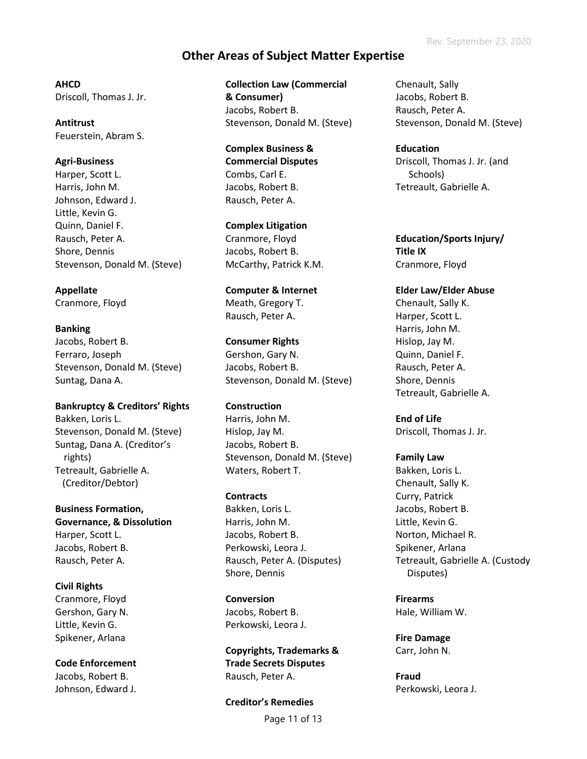# **Other Areas of Subject Matter Expertise**

**AHCD** Driscoll, Thomas J. Jr.

**Antitrust** Feuerstein, Abram S.

## **Agri-Business**

Harper, Scott L. Harris, John M. Johnson, Edward J. Little, Kevin G. Quinn, Daniel F. Rausch, Peter A. Shore, Dennis Stevenson, Donald M. (Steve)

## **Appellate**

Cranmore, Floyd

### **Banking**

Jacobs, Robert B. Ferraro, Joseph Stevenson, Donald M. (Steve) Suntag, Dana A.

**Bankruptcy & Creditors' Rights**

Bakken, Loris L. Stevenson, Donald M. (Steve) Suntag, Dana A. (Creditor's rights) Tetreault, Gabrielle A. (Creditor/Debtor)

**Business Formation, Governance, & Dissolution** Harper, Scott L. Jacobs, Robert B. Rausch, Peter A.

**Civil Rights**  Cranmore, Floyd Gershon, Gary N. Little, Kevin G. Spikener, Arlana

**Code Enforcement** Jacobs, Robert B. Johnson, Edward J. **Collection Law (Commercial & Consumer)** Jacobs, Robert B. Stevenson, Donald M. (Steve)

**Complex Business & Commercial Disputes** Combs, Carl E. Jacobs, Robert B. Rausch, Peter A.

**Complex Litigation** Cranmore, Floyd Jacobs, Robert B. McCarthy, Patrick K.M.

**Computer & Internet** Meath, Gregory T. Rausch, Peter A.

**Consumer Rights**  Gershon, Gary N. Jacobs, Robert B. Stevenson, Donald M. (Steve)

**Construction** Harris, John M. Hislop, Jay M. Jacobs, Robert B. Stevenson, Donald M. (Steve) Waters, Robert T.

**Contracts** Bakken, Loris L. Harris, John M. Jacobs, Robert B. Perkowski, Leora J. Rausch, Peter A. (Disputes) Shore, Dennis

**Conversion**  Jacobs, Robert B. Perkowski, Leora J.

**Copyrights, Trademarks & Trade Secrets Disputes** Rausch, Peter A.

Page 11 of 13 **Creditor's Remedies**

Chenault, Sally Jacobs, Robert B. Rausch, Peter A. Stevenson, Donald M. (Steve)

**Education** Driscoll, Thomas J. Jr. (and Schools) Tetreault, Gabrielle A.

**Education/Sports Injury/ Title IX** Cranmore, Floyd

**Elder Law/Elder Abuse** Chenault, Sally K. Harper, Scott L. Harris, John M. Hislop, Jay M. Quinn, Daniel F. Rausch, Peter A. Shore, Dennis Tetreault, Gabrielle A.

**End of Life** Driscoll, Thomas J. Jr.

**Family Law** Bakken, Loris L. Chenault, Sally K. Curry, Patrick Jacobs, Robert B. Little, Kevin G. Norton, Michael R. Spikener, Arlana Tetreault, Gabrielle A. (Custody Disputes)

**Firearms**  Hale, William W.

**Fire Damage** Carr, John N.

**Fraud** Perkowski, Leora J.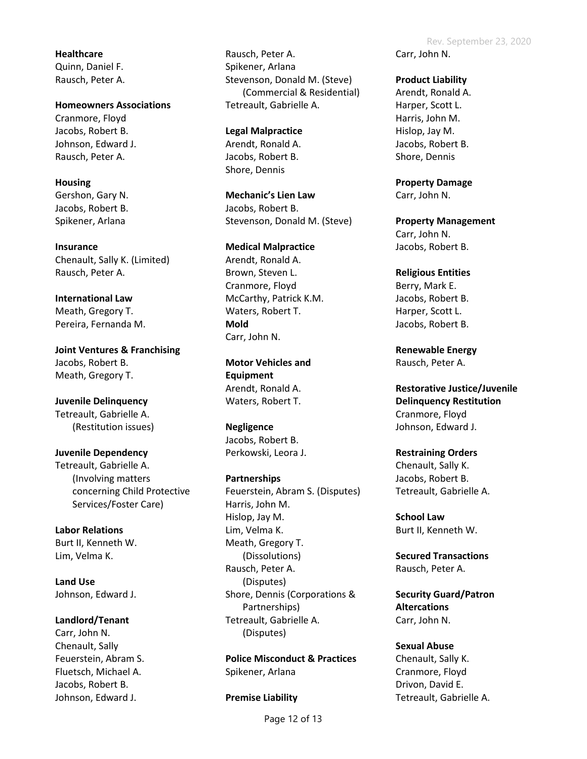**Healthcare** Quinn, Daniel F. Rausch, Peter A.

**Homeowners Associations** Cranmore, Floyd Jacobs, Robert B. Johnson, Edward J. Rausch, Peter A.

**Housing** Gershon, Gary N. Jacobs, Robert B. Spikener, Arlana

**Insurance** Chenault, Sally K. (Limited) Rausch, Peter A.

**International Law** Meath, Gregory T. Pereira, Fernanda M.

**Joint Ventures & Franchising** Jacobs, Robert B. Meath, Gregory T.

**Juvenile Delinquency**  Tetreault, Gabrielle A. (Restitution issues)

**Juvenile Dependency**  Tetreault, Gabrielle A. (Involving matters concerning Child Protective Services/Foster Care)

**Labor Relations** Burt II, Kenneth W. Lim, Velma K.

**Land Use** Johnson, Edward J.

**Landlord/Tenant**

Carr, John N. Chenault, Sally Feuerstein, Abram S. Fluetsch, Michael A. Jacobs, Robert B. Johnson, Edward J.

Rausch, Peter A. Spikener, Arlana Stevenson, Donald M. (Steve) (Commercial & Residential) Tetreault, Gabrielle A.

**Legal Malpractice** Arendt, Ronald A. Jacobs, Robert B. Shore, Dennis

**Mechanic's Lien Law** Jacobs, Robert B. Stevenson, Donald M. (Steve)

**Medical Malpractice** Arendt, Ronald A. Brown, Steven L. Cranmore, Floyd McCarthy, Patrick K.M. Waters, Robert T. **Mold** Carr, John N.

**Motor Vehicles and Equipment**  Arendt, Ronald A. Waters, Robert T.

**Negligence** Jacobs, Robert B. Perkowski, Leora J.

**Partnerships** Feuerstein, Abram S. (Disputes) Harris, John M. Hislop, Jay M. Lim, Velma K. Meath, Gregory T. (Dissolutions) Rausch, Peter A. (Disputes) Shore, Dennis (Corporations & Partnerships) Tetreault, Gabrielle A. (Disputes)

**Police Misconduct & Practices** Spikener, Arlana

**Premise Liability**

**Product Liability**

Arendt, Ronald A. Harper, Scott L. Harris, John M. Hislop, Jay M. Jacobs, Robert B. Shore, Dennis

**Property Damage** Carr, John N.

**Property Management** Carr, John N. Jacobs, Robert B.

**Religious Entities** Berry, Mark E. Jacobs, Robert B. Harper, Scott L. Jacobs, Robert B.

**Renewable Energy** Rausch, Peter A.

**Restorative Justice/Juvenile Delinquency Restitution** Cranmore, Floyd Johnson, Edward J.

**Restraining Orders** Chenault, Sally K. Jacobs, Robert B. Tetreault, Gabrielle A.

**School Law** Burt II, Kenneth W.

**Secured Transactions** Rausch, Peter A.

**Security Guard/Patron Altercations** Carr, John N.

**Sexual Abuse** Chenault, Sally K. Cranmore, Floyd Drivon, David E. Tetreault, Gabrielle A.